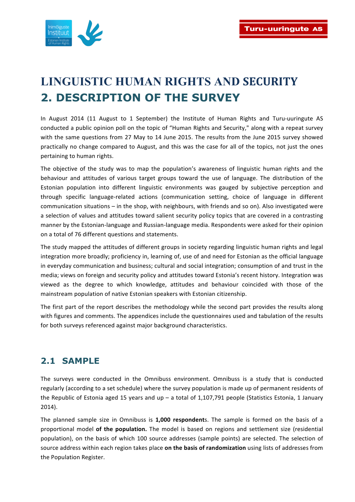

# **LINGUISTIC HUMAN RIGHTS AND SECURITY 2. DESCRIPTION OF THE SURVEY**

In August 2014 (11 August to 1 September) the Institute of Human Rights and Turu-uuringute AS conducted a public opinion poll on the topic of "Human Rights and Security," along with a repeat survey with the same questions from 27 May to 14 June 2015. The results from the June 2015 survey showed practically no change compared to August, and this was the case for all of the topics, not just the ones pertaining to human rights.

The objective of the study was to map the population's awareness of linguistic human rights and the behaviour and attitudes of various target groups toward the use of language. The distribution of the Estonian population into different linguistic environments was gauged by subjective perception and through specific language-related actions (communication setting, choice of language in different communication situations – in the shop, with neighbours, with friends and so on). Also investigated were a selection of values and attitudes toward salient security policy topics that are covered in a contrasting manner by the Estonian-language and Russian-language media. Respondents were asked for their opinion on a total of 76 different questions and statements.

The study mapped the attitudes of different groups in society regarding linguistic human rights and legal integration more broadly; proficiency in, learning of, use of and need for Estonian as the official language in everyday communication and business; cultural and social integration; consumption of and trust in the media; views on foreign and security policy and attitudes toward Estonia's recent history. Integration was viewed as the degree to which knowledge, attitudes and behaviour coincided with those of the mainstream population of native Estonian speakers with Estonian citizenship.

The first part of the report describes the methodology while the second part provides the results along with figures and comments. The appendices include the questionnaires used and tabulation of the results for both surveys referenced against major background characteristics.

## **2.1 SAMPLE**

The surveys were conducted in the Omnibuss environment. Omnibuss is a study that is conducted regularly (according to a set schedule) where the survey population is made up of permanent residents of the Republic of Estonia aged 15 years and up – a total of 1,107,791 people (Statistics Estonia, 1 January 2014). 

The planned sample size in Omnibuss is 1,000 respondents. The sample is formed on the basis of a proportional model of the population. The model is based on regions and settlement size (residential population), on the basis of which 100 source addresses (sample points) are selected. The selection of source address within each region takes place on the basis of randomization using lists of addresses from the Population Register.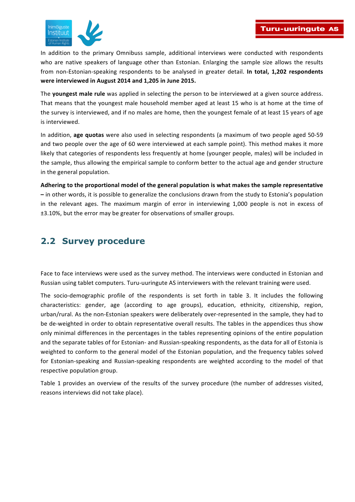

In addition to the primary Omnibuss sample, additional interviews were conducted with respondents who are native speakers of language other than Estonian. Enlarging the sample size allows the results from non-Estonian-speaking respondents to be analysed in greater detail. In total, 1,202 respondents were interviewed in August 2014 and 1,205 in June 2015.

The **youngest male rule** was applied in selecting the person to be interviewed at a given source address. That means that the youngest male household member aged at least 15 who is at home at the time of the survey is interviewed, and if no males are home, then the youngest female of at least 15 years of age is interviewed.

In addition, age quotas were also used in selecting respondents (a maximum of two people aged 50-59 and two people over the age of 60 were interviewed at each sample point). This method makes it more likely that categories of respondents less frequently at home (younger people, males) will be included in the sample, thus allowing the empirical sample to conform better to the actual age and gender structure in the general population.

Adhering to the proportional model of the general population is what makes the sample representative  $-$  in other words, it is possible to generalize the conclusions drawn from the study to Estonia's population in the relevant ages. The maximum margin of error in interviewing 1,000 people is not in excess of  $±3.10%$ , but the error may be greater for observations of smaller groups.

## **2.2 Survey procedure**

Face to face interviews were used as the survey method. The interviews were conducted in Estonian and Russian using tablet computers. Turu-uuringute AS interviewers with the relevant training were used.

The socio-demographic profile of the respondents is set forth in table 3. It includes the following characteristics: gender, age (according to age groups), education, ethnicity, citizenship, region, urban/rural. As the non-Estonian speakers were deliberately over-represented in the sample, they had to be de-weighted in order to obtain representative overall results. The tables in the appendices thus show only minimal differences in the percentages in the tables representing opinions of the entire population and the separate tables of for Estonian- and Russian-speaking respondents, as the data for all of Estonia is weighted to conform to the general model of the Estonian population, and the frequency tables solved for Estonian-speaking and Russian-speaking respondents are weighted according to the model of that respective population group.

Table 1 provides an overview of the results of the survey procedure (the number of addresses visited, reasons interviews did not take place).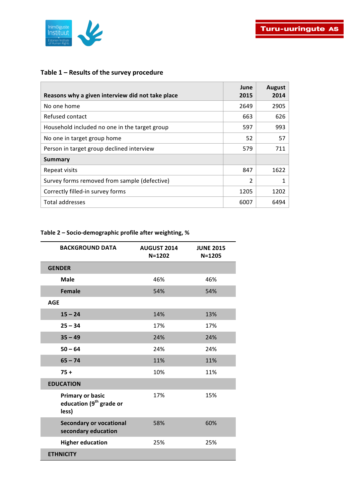

#### Table 1 – Results of the survey procedure

| Reasons why a given interview did not take place | June<br>2015 | <b>August</b><br>2014 |
|--------------------------------------------------|--------------|-----------------------|
| No one home                                      | 2649         | 2905                  |
| Refused contact                                  | 663          | 626                   |
| Household included no one in the target group    | 597          | 993                   |
| No one in target group home                      | 52           | 57                    |
| Person in target group declined interview        | 579          | 711                   |
| <b>Summary</b>                                   |              |                       |
| Repeat visits                                    | 847          | 1622                  |
| Survey forms removed from sample (defective)     | 2            |                       |
| Correctly filled-in survey forms                 | 1205         | 1202                  |
| Total addresses                                  | 6007         | 6494                  |

#### **Table 2 – Socio-demographic profile after weighting, %**

| <b>BACKGROUND DATA</b>                                                  | <b>AUGUST 2014</b><br>N=1202 | <b>JUNE 2015</b><br>$N = 1205$ |
|-------------------------------------------------------------------------|------------------------------|--------------------------------|
| <b>GENDER</b>                                                           |                              |                                |
| <b>Male</b>                                                             | 46%                          | 46%                            |
| <b>Female</b>                                                           | 54%                          | 54%                            |
| <b>AGE</b>                                                              |                              |                                |
| $15 - 24$                                                               | 14%                          | 13%                            |
| $25 - 34$                                                               | 17%                          | 17%                            |
| $35 - 49$                                                               | 24%                          | 24%                            |
| $50 - 64$                                                               | 24%                          | 24%                            |
| $65 - 74$                                                               | 11%                          | 11%                            |
| $75+$                                                                   | 10%                          | 11%                            |
| <b>EDUCATION</b>                                                        |                              |                                |
| <b>Primary or basic</b><br>education (9 <sup>th</sup> grade or<br>less) | 17%                          | 15%                            |
| <b>Secondary or vocational</b><br>secondary education                   | 58%                          | 60%                            |
| <b>Higher education</b>                                                 | 25%                          | 25%                            |
| <b>ETHNICITY</b>                                                        |                              |                                |